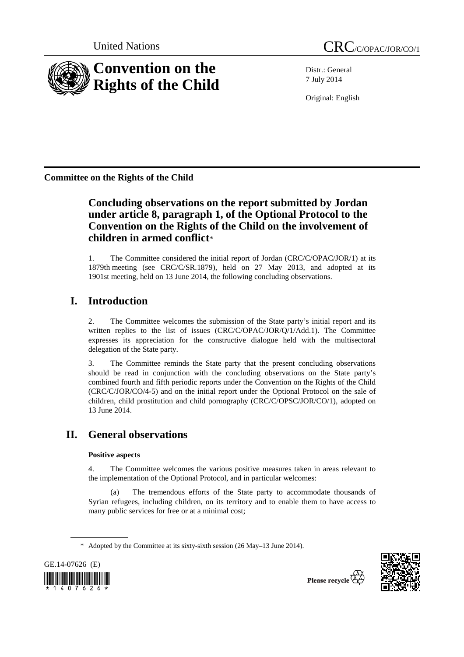

Distr.: General 7 July 2014

Original: English

**Committee on the Rights of the Child** 

# **Concluding observations on the report submitted by Jordan under article 8, paragraph 1, of the Optional Protocol to the Convention on the Rights of the Child on the involvement of children in armed conflict**\*

1. The Committee considered the initial report of Jordan (CRC/C/OPAC/JOR/1) at its 1879th meeting (see CRC/C/SR.1879), held on 27 May 2013, and adopted at its 1901st meeting, held on 13 June 2014, the following concluding observations.

# **I. Introduction**

2. The Committee welcomes the submission of the State party's initial report and its written replies to the list of issues (CRC/C/OPAC/JOR/Q/1/Add.1). The Committee expresses its appreciation for the constructive dialogue held with the multisectoral delegation of the State party.

3. The Committee reminds the State party that the present concluding observations should be read in conjunction with the concluding observations on the State party's combined fourth and fifth periodic reports under the Convention on the Rights of the Child (CRC/C/JOR/CO/4-5) and on the initial report under the Optional Protocol on the sale of children, child prostitution and child pornography (CRC/C/OPSC/JOR/CO/1), adopted on 13 June 2014.

# **II. General observations**

### **Positive aspects**

4. The Committee welcomes the various positive measures taken in areas relevant to the implementation of the Optional Protocol, and in particular welcomes:

(a) The tremendous efforts of the State party to accommodate thousands of Syrian refugees, including children, on its territory and to enable them to have access to many public services for free or at a minimal cost;

<sup>\*</sup> Adopted by the Committee at its sixty-sixth session (26 May–13 June 2014).



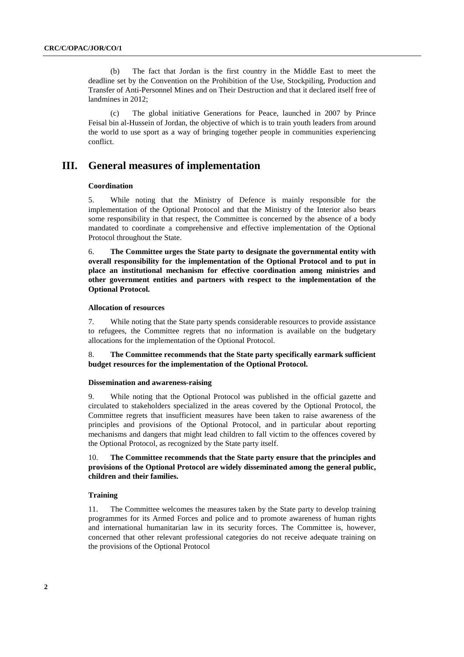(b) The fact that Jordan is the first country in the Middle East to meet the deadline set by the Convention on the Prohibition of the Use, Stockpiling, Production and Transfer of Anti-Personnel Mines and on Their Destruction and that it declared itself free of landmines in 2012;

(c) The global initiative Generations for Peace, launched in 2007 by Prince Feisal bin al-Hussein of Jordan, the objective of which is to train youth leaders from around the world to use sport as a way of bringing together people in communities experiencing conflict.

### **III. General measures of implementation**

### **Coordination**

5. While noting that the Ministry of Defence is mainly responsible for the implementation of the Optional Protocol and that the Ministry of the Interior also bears some responsibility in that respect, the Committee is concerned by the absence of a body mandated to coordinate a comprehensive and effective implementation of the Optional Protocol throughout the State.

6. **The Committee urges the State party to designate the governmental entity with overall responsibility for the implementation of the Optional Protocol and to put in place an institutional mechanism for effective coordination among ministries and other government entities and partners with respect to the implementation of the Optional Protocol.** 

#### **Allocation of resources**

7. While noting that the State party spends considerable resources to provide assistance to refugees, the Committee regrets that no information is available on the budgetary allocations for the implementation of the Optional Protocol.

8. **The Committee recommends that the State party specifically earmark sufficient budget resources for the implementation of the Optional Protocol.** 

#### **Dissemination and awareness-raising**

9. While noting that the Optional Protocol was published in the official gazette and circulated to stakeholders specialized in the areas covered by the Optional Protocol, the Committee regrets that insufficient measures have been taken to raise awareness of the principles and provisions of the Optional Protocol, and in particular about reporting mechanisms and dangers that might lead children to fall victim to the offences covered by the Optional Protocol, as recognized by the State party itself.

10. **The Committee recommends that the State party ensure that the principles and provisions of the Optional Protocol are widely disseminated among the general public, children and their families.** 

### **Training**

11. The Committee welcomes the measures taken by the State party to develop training programmes for its Armed Forces and police and to promote awareness of human rights and international humanitarian law in its security forces. The Committee is, however, concerned that other relevant professional categories do not receive adequate training on the provisions of the Optional Protocol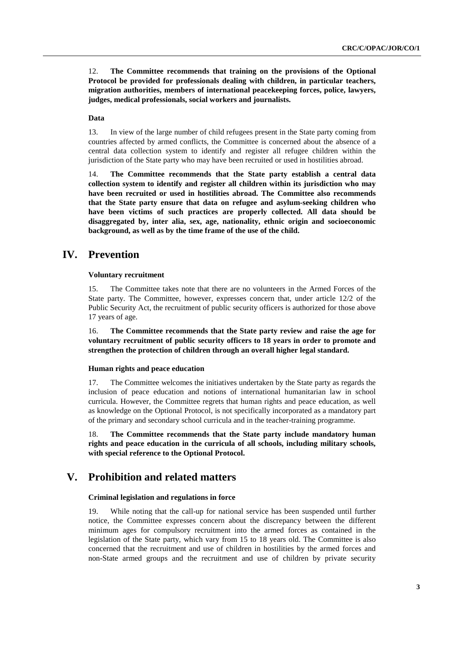12. **The Committee recommends that training on the provisions of the Optional Protocol be provided for professionals dealing with children, in particular teachers, migration authorities, members of international peacekeeping forces, police, lawyers, judges, medical professionals, social workers and journalists.** 

### **Data**

13. In view of the large number of child refugees present in the State party coming from countries affected by armed conflicts, the Committee is concerned about the absence of a central data collection system to identify and register all refugee children within the jurisdiction of the State party who may have been recruited or used in hostilities abroad.

14. **The Committee recommends that the State party establish a central data collection system to identify and register all children within its jurisdiction who may have been recruited or used in hostilities abroad. The Committee also recommends that the State party ensure that data on refugee and asylum-seeking children who have been victims of such practices are properly collected. All data should be disaggregated by, inter alia, sex, age, nationality, ethnic origin and socioeconomic background, as well as by the time frame of the use of the child.** 

## **IV. Prevention**

### **Voluntary recruitment**

15. The Committee takes note that there are no volunteers in the Armed Forces of the State party. The Committee, however, expresses concern that, under article 12/2 of the Public Security Act, the recruitment of public security officers is authorized for those above 17 years of age.

16. **The Committee recommends that the State party review and raise the age for voluntary recruitment of public security officers to 18 years in order to promote and strengthen the protection of children through an overall higher legal standard.** 

### **Human rights and peace education**

17. The Committee welcomes the initiatives undertaken by the State party as regards the inclusion of peace education and notions of international humanitarian law in school curricula. However, the Committee regrets that human rights and peace education, as well as knowledge on the Optional Protocol, is not specifically incorporated as a mandatory part of the primary and secondary school curricula and in the teacher-training programme.

18. **The Committee recommends that the State party include mandatory human rights and peace education in the curricula of all schools, including military schools, with special reference to the Optional Protocol.**

## **V. Prohibition and related matters**

### **Criminal legislation and regulations in force**

19. While noting that the call-up for national service has been suspended until further notice, the Committee expresses concern about the discrepancy between the different minimum ages for compulsory recruitment into the armed forces as contained in the legislation of the State party, which vary from 15 to 18 years old. The Committee is also concerned that the recruitment and use of children in hostilities by the armed forces and non-State armed groups and the recruitment and use of children by private security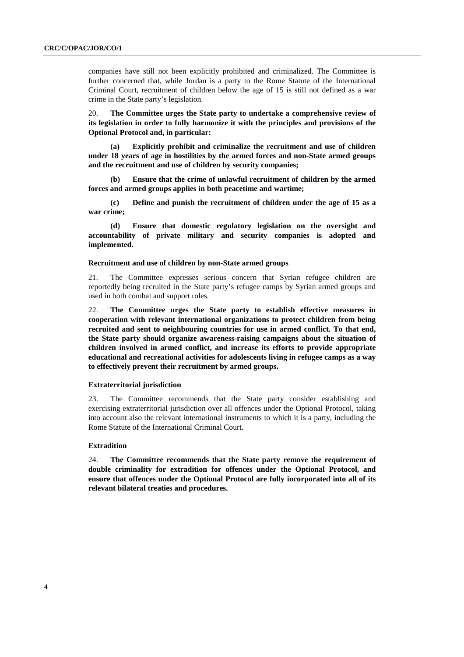companies have still not been explicitly prohibited and criminalized. The Committee is further concerned that, while Jordan is a party to the Rome Statute of the International Criminal Court, recruitment of children below the age of 15 is still not defined as a war crime in the State party's legislation.

20. **The Committee urges the State party to undertake a comprehensive review of its legislation in order to fully harmonize it with the principles and provisions of the Optional Protocol and, in particular:** 

**(a) Explicitly prohibit and criminalize the recruitment and use of children under 18 years of age in hostilities by the armed forces and non-State armed groups and the recruitment and use of children by security companies;** 

**(b) Ensure that the crime of unlawful recruitment of children by the armed forces and armed groups applies in both peacetime and wartime;** 

**(c) Define and punish the recruitment of children under the age of 15 as a war crime;** 

**(d) Ensure that domestic regulatory legislation on the oversight and accountability of private military and security companies is adopted and implemented.** 

### **Recruitment and use of children by non-State armed groups**

21. The Committee expresses serious concern that Syrian refugee children are reportedly being recruited in the State party's refugee camps by Syrian armed groups and used in both combat and support roles.

22. **The Committee urges the State party to establish effective measures in cooperation with relevant international organizations to protect children from being recruited and sent to neighbouring countries for use in armed conflict. To that end, the State party should organize awareness-raising campaigns about the situation of children involved in armed conflict, and increase its efforts to provide appropriate educational and recreational activities for adolescents living in refugee camps as a way to effectively prevent their recruitment by armed groups.** 

### **Extraterritorial jurisdiction**

23. The Committee recommends that the State party consider establishing and exercising extraterritorial jurisdiction over all offences under the Optional Protocol, taking into account also the relevant international instruments to which it is a party, including the Rome Statute of the International Criminal Court.

### **Extradition**

24. **The Committee recommends that the State party remove the requirement of double criminality for extradition for offences under the Optional Protocol, and ensure that offences under the Optional Protocol are fully incorporated into all of its relevant bilateral treaties and procedures.**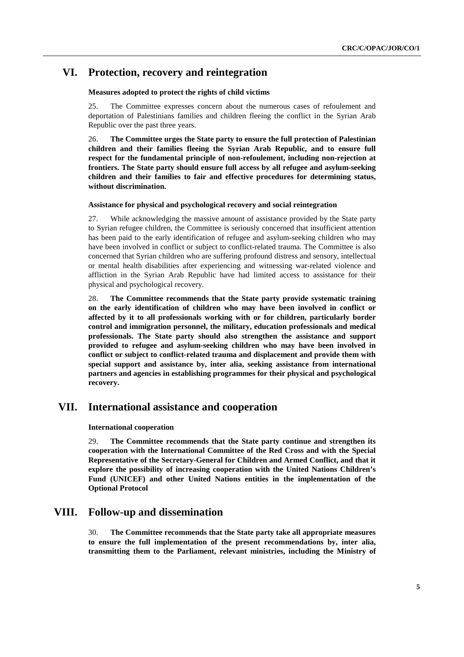## **VI. Protection, recovery and reintegration**

### **Measures adopted to protect the rights of child victims**

25. The Committee expresses concern about the numerous cases of refoulement and deportation of Palestinians families and children fleeing the conflict in the Syrian Arab Republic over the past three years.

26. **The Committee urges the State party to ensure the full protection of Palestinian children and their families fleeing the Syrian Arab Republic, and to ensure full respect for the fundamental principle of non-refoulement, including non-rejection at frontiers. The State party should ensure full access by all refugee and asylum-seeking children and their families to fair and effective procedures for determining status, without discrimination.** 

### **Assistance for physical and psychological recovery and social reintegration**

27. While acknowledging the massive amount of assistance provided by the State party to Syrian refugee children, the Committee is seriously concerned that insufficient attention has been paid to the early identification of refugee and asylum-seeking children who may have been involved in conflict or subject to conflict-related trauma. The Committee is also concerned that Syrian children who are suffering profound distress and sensory, intellectual or mental health disabilities after experiencing and witnessing war-related violence and affliction in the Syrian Arab Republic have had limited access to assistance for their physical and psychological recovery.

28. **The Committee recommends that the State party provide systematic training on the early identification of children who may have been involved in conflict or affected by it to all professionals working with or for children, particularly border control and immigration personnel, the military, education professionals and medical professionals. The State party should also strengthen the assistance and support provided to refugee and asylum-seeking children who may have been involved in conflict or subject to conflict-related trauma and displacement and provide them with special support and assistance by, inter alia, seeking assistance from international partners and agencies in establishing programmes for their physical and psychological recovery.** 

## **VII. International assistance and cooperation**

### **International cooperation**

29. **The Committee recommends that the State party continue and strengthen its cooperation with the International Committee of the Red Cross and with the Special Representative of the Secretary-General for Children and Armed Conflict, and that it explore the possibility of increasing cooperation with the United Nations Children's Fund (UNICEF) and other United Nations entities in the implementation of the Optional Protocol** 

## **VIII. Follow-up and dissemination**

30. **The Committee recommends that the State party take all appropriate measures to ensure the full implementation of the present recommendations by, inter alia, transmitting them to the Parliament, relevant ministries, including the Ministry of**